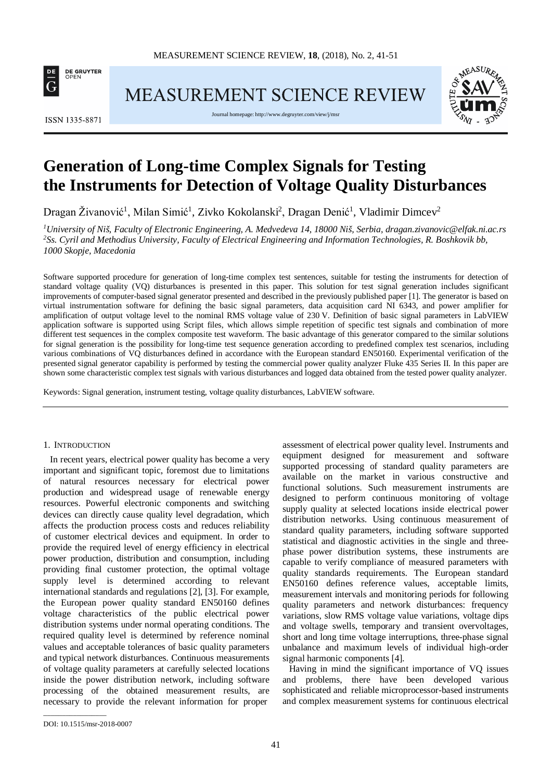

MEASUREMENT SCIENCE REVIEW



Journal homepage[: http://www.degruyter.com/view/j/msr](http://www.degruyter.com/view/j/msr)



# **Generation of Long-time Complex Signals for Testing the Instruments for Detection of Voltage Quality Disturbances**

Dragan Živanović<sup>1</sup>, Milan Simić<sup>1</sup>, Zivko Kokolanski<sup>2</sup>, Dragan Denić<sup>1</sup>, Vladimir Dimcev<sup>2</sup>

*1 University of Niš, Faculty of Electronic Engineering, A. Medvedeva 14, 18000 Niš, Serbia, dragan.zivanovic@elfak.ni.ac.rs 2 Ss. Cyril and Methodius University, Faculty of Electrical Engineering and Information Technologies, R. Boshkovik bb, 1000 Skopje, Macedonia*

Software supported procedure for generation of long-time complex test sentences, suitable for testing the instruments for detection of standard voltage quality (VQ) disturbances is presented in this paper. This solution for test signal generation includes significant improvements of computer-based signal generator presented and described in the previously published paper [1]. The generator is based on virtual instrumentation software for defining the basic signal parameters, data acquisition card NI 6343, and power amplifier for amplification of output voltage level to the nominal RMS voltage value of 230 V. Definition of basic signal parameters in LabVIEW application software is supported using Script files, which allows simple repetition of specific test signals and combination of more different test sequences in the complex composite test waveform. The basic advantage of this generator compared to the similar solutions for signal generation is the possibility for long-time test sequence generation according to predefined complex test scenarios, including various combinations of VQ disturbances defined in accordance with the European standard EN50160. Experimental verification of the presented signal generator capability is performed by testing the commercial power quality analyzer Fluke 435 Series II. In this paper are shown some characteristic complex test signals with various disturbances and logged data obtained from the tested power quality analyzer.

Keywords: Signal generation, instrument testing, voltage quality disturbances, LabVIEW software.

#### 1. INTRODUCTION

In recent years, electrical power quality has become a very important and significant topic, foremost due to limitations of natural resources necessary for electrical power production and widespread usage of renewable energy resources. Powerful electronic components and switching devices can directly cause quality level degradation, which affects the production process costs and reduces reliability of customer electrical devices and equipment. In order to provide the required level of energy efficiency in electrical power production, distribution and consumption, including providing final customer protection, the optimal voltage supply level is determined according to relevant international standards and regulations [2], [3]. For example, the European power quality standard EN50160 defines voltage characteristics of the public electrical power distribution systems under normal operating conditions. The required quality level is determined by reference nominal values and acceptable tolerances of basic quality parameters and typical network disturbances. Continuous measurements of voltage quality parameters at carefully selected locations inside the power distribution network, including software processing of the obtained measurement results, are necessary to provide the relevant information for proper

assessment of electrical power quality level. Instruments and equipment designed for measurement and software supported processing of standard quality parameters are available on the market in various constructive and functional solutions. Such measurement instruments are designed to perform continuous monitoring of voltage supply quality at selected locations inside electrical power distribution networks. Using continuous measurement of standard quality parameters, including software supported statistical and diagnostic activities in the single and threephase power distribution systems, these instruments are capable to verify compliance of measured parameters with quality standards requirements. The European standard EN50160 defines reference values, acceptable limits, measurement intervals and monitoring periods for following quality parameters and network disturbances: frequency variations, slow RMS voltage value variations, voltage dips and voltage swells, temporary and transient overvoltages, short and long time voltage interruptions, three-phase signal unbalance and maximum levels of individual high-order signal harmonic components [4].

Having in mind the significant importance of VQ issues and problems, there have been developed various sophisticated and reliable microprocessor-based instruments and complex measurement systems for continuous electrical

\_\_\_\_\_\_\_\_\_\_\_\_\_\_\_\_\_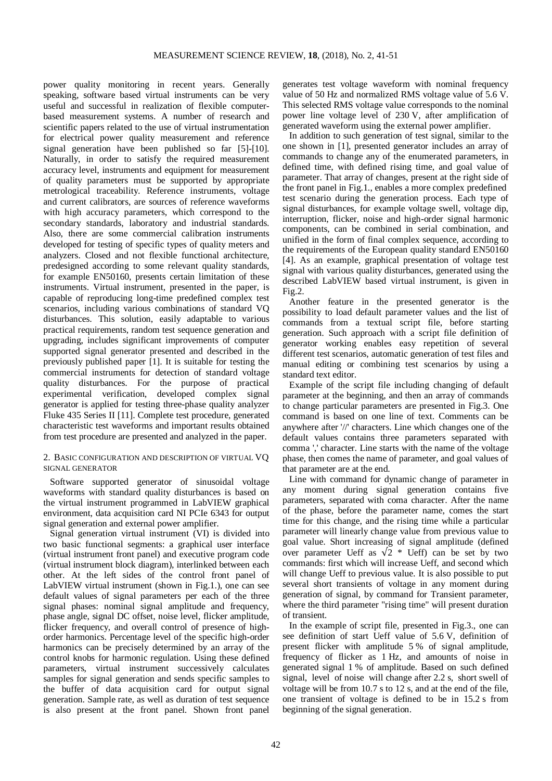power quality monitoring in recent years. Generally speaking, software based virtual instruments can be very useful and successful in realization of flexible computerbased measurement systems. A number of research and scientific papers related to the use of virtual instrumentation for electrical power quality measurement and reference signal generation have been published so far [5]-[10]. Naturally, in order to satisfy the required measurement accuracy level, instruments and equipment for measurement of quality parameters must be supported by appropriate metrological traceability. Reference instruments, voltage and current calibrators, are sources of reference waveforms with high accuracy parameters, which correspond to the secondary standards, laboratory and industrial standards. Also, there are some commercial calibration instruments developed for testing of specific types of quality meters and analyzers. Closed and not flexible functional architecture, predesigned according to some relevant quality standards, for example EN50160, presents certain limitation of these instruments. Virtual instrument, presented in the paper, is capable of reproducing long-time predefined complex test scenarios, including various combinations of standard VQ disturbances. This solution, easily adaptable to various practical requirements, random test sequence generation and upgrading, includes significant improvements of computer supported signal generator presented and described in the previously published paper [1]. It is suitable for testing the commercial instruments for detection of standard voltage quality disturbances. For the purpose of practical experimental verification, developed complex signal generator is applied for testing three-phase quality analyzer Fluke 435 Series II [11]. Complete test procedure, generated characteristic test waveforms and important results obtained from test procedure are presented and analyzed in the paper.

## 2. BASIC CONFIGURATION AND DESCRIPTION OF VIRTUAL VQ SIGNAL GENERATOR

Software supported generator of sinusoidal voltage waveforms with standard quality disturbances is based on the virtual instrument programmed in LabVIEW graphical environment, data acquisition card NI PCIe 6343 for output signal generation and external power amplifier.

Signal generation virtual instrument (VI) is divided into two basic functional segments: a graphical user interface (virtual instrument front panel) and executive program code (virtual instrument block diagram), interlinked between each other. At the left sides of the control front panel of LabVIEW virtual instrument (shown in Fig.1.), one can see default values of signal parameters per each of the three signal phases: nominal signal amplitude and frequency, phase angle, signal DC offset, noise level, flicker amplitude, flicker frequency, and overall control of presence of highorder harmonics. Percentage level of the specific high-order harmonics can be precisely determined by an array of the control knobs for harmonic regulation. Using these defined parameters, virtual instrument successively calculates samples for signal generation and sends specific samples to the buffer of data acquisition card for output signal generation. Sample rate, as well as duration of test sequence is also present at the front panel. Shown front panel

generates test voltage waveform with nominal frequency value of 50 Hz and normalized RMS voltage value of 5.6 V. This selected RMS voltage value corresponds to the nominal power line voltage level of 230 V, after amplification of generated waveform using the external power amplifier.

In addition to such generation of test signal, similar to the one shown in [1], presented generator includes an array of commands to change any of the enumerated parameters, in defined time, with defined rising time, and goal value of parameter. That array of changes, present at the right side of the front panel in Fig.1., enables a more complex predefined test scenario during the generation process. Each type of signal disturbances, for example voltage swell, voltage dip, interruption, flicker, noise and high-order signal harmonic components, can be combined in serial combination, and unified in the form of final complex sequence, according to the requirements of the European quality standard EN50160 [4]. As an example, graphical presentation of voltage test signal with various quality disturbances, generated using the described LabVIEW based virtual instrument, is given in Fig.2.

Another feature in the presented generator is the possibility to load default parameter values and the list of commands from a textual script file, before starting generation. Such approach with a script file definition of generator working enables easy repetition of several different test scenarios, automatic generation of test files and manual editing or combining test scenarios by using a standard text editor.

Example of the script file including changing of default parameter at the beginning, and then an array of commands to change particular parameters are presented in Fig.3. One command is based on one line of text. Comments can be anywhere after '//' characters. Line which changes one of the default values contains three parameters separated with comma ',' character. Line starts with the name of the voltage phase, then comes the name of parameter, and goal values of that parameter are at the end.

Line with command for dynamic change of parameter in any moment during signal generation contains five parameters, separated with coma character. After the name of the phase, before the parameter name, comes the start time for this change, and the rising time while a particular parameter will linearly change value from previous value to goal value. Short increasing of signal amplitude (defined over parameter Ueff as  $\sqrt{2}$  \* Ueff) can be set by two commands: first which will increase Ueff, and second which will change Ueff to previous value. It is also possible to put several short transients of voltage in any moment during generation of signal, by command for Transient parameter, where the third parameter "rising time" will present duration of transient.

In the example of script file, presented in Fig.3., one can see definition of start Ueff value of 5.6 V, definition of present flicker with amplitude 5 % of signal amplitude, frequency of flicker as 1 Hz, and amounts of noise in generated signal 1 % of amplitude. Based on such defined signal, level of noise will change after 2.2 s, short swell of voltage will be from 10.7 s to 12 s, and at the end of the file, one transient of voltage is defined to be in 15.2 s from beginning of the signal generation.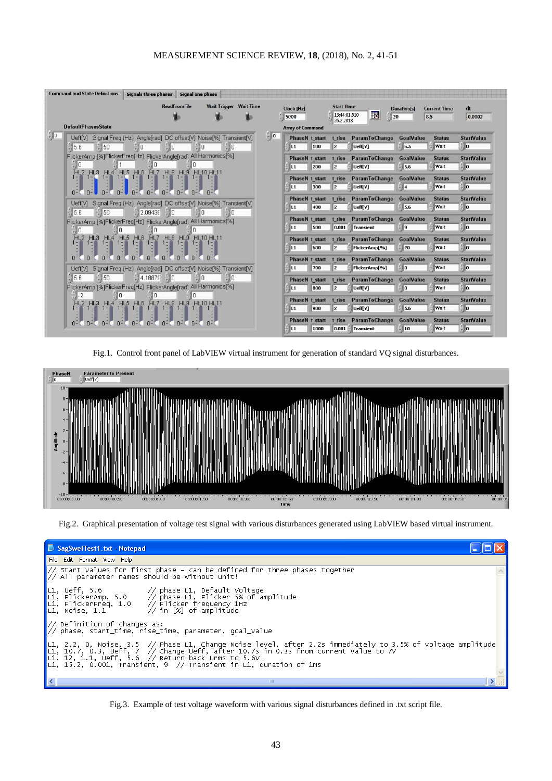

Fig.1. Control front panel of LabVIEW virtual instrument for generation of standard VQ signal disturbances.



Fig.2. Graphical presentation of voltage test signal with various disturbances generated using LabVIEW based virtual instrument.

| SagSwelTest1.txt - Notepad                                                                                                                                                                                                                                                                                                                                   |  |
|--------------------------------------------------------------------------------------------------------------------------------------------------------------------------------------------------------------------------------------------------------------------------------------------------------------------------------------------------------------|--|
| File Edit Format View Help                                                                                                                                                                                                                                                                                                                                   |  |
| $\frac{1}{2}$ start values for first phase – can be defined for three phases together<br>$\frac{1}{2}$ All parameter names should be without unit!                                                                                                                                                                                                           |  |
| L1, Ueff, 5.6 $\hspace{1cm}$ phase L1, Default Voltage<br>L1, FlickerAmp, 5.0 $\hspace{1cm}$ phase L1, Flicker 5% of amplitude<br>L1, FlickerFreq, 1.0 $\hspace{1cm}$ Flicker frequency 1Hz<br>L1, Noise, 1.1 $\hspace{1cm}$ 11 [%] of amplitude                                                                                                             |  |
| $\frac{1}{2}$ Definition of changes as:<br>$\frac{1}{2}$ phase, start_time, rise_time, parameter, goal_value                                                                                                                                                                                                                                                 |  |
| $\lfloor$ L1, 2.2, 0, Noise, 3.5 // Phase L1, Change Noise level, after 2.2s immediately to 3.5% of voltage amplitude<br>L1, 10.7, 0.3, Ueff, 7 $\frac{7}{2}$ Change Ueff, after 10.7s in 0.3s from current value to 7V<br>L1, 12, 1.1, Ueff, 5.6 // Return back Urms to 5.6V<br>$\lfloor$ L1, 15.2, 0.001, Transient, 9 // Transient in L1, duration of 1ms |  |
|                                                                                                                                                                                                                                                                                                                                                              |  |
|                                                                                                                                                                                                                                                                                                                                                              |  |

Fig.3. Example of test voltage waveform with various signal disturbances defined in .txt script file.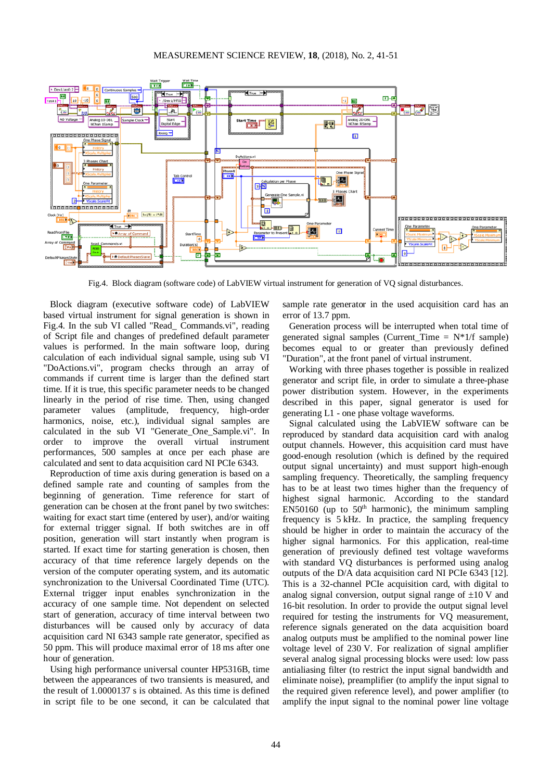

Fig.4. Block diagram (software code) of LabVIEW virtual instrument for generation of VQ signal disturbances.

Block diagram (executive software code) of LabVIEW based virtual instrument for signal generation is shown in Fig.4. In the sub VI called "Read\_ Commands.vi", reading of Script file and changes of predefined default parameter values is performed. In the main software loop, during calculation of each individual signal sample, using sub VI "DoActions.vi", program checks through an array of commands if current time is larger than the defined start time. If it is true, this specific parameter needs to be changed linearly in the period of rise time. Then, using changed parameter values (amplitude, frequency, high-order harmonics, noise, etc.), individual signal samples are calculated in the sub VI "Generate\_One\_Sample.vi". In order to improve the overall virtual instrument performances, 500 samples at once per each phase are calculated and sent to data acquisition card NI PCIe 6343.

Reproduction of time axis during generation is based on a defined sample rate and counting of samples from the beginning of generation. Time reference for start of generation can be chosen at the front panel by two switches: waiting for exact start time (entered by user), and/or waiting for external trigger signal. If both switches are in off position, generation will start instantly when program is started. If exact time for starting generation is chosen, then accuracy of that time reference largely depends on the version of the computer operating system, and its automatic synchronization to the Universal Coordinated Time (UTC). External trigger input enables synchronization in the accuracy of one sample time. Not dependent on selected start of generation, accuracy of time interval between two disturbances will be caused only by accuracy of data acquisition card NI 6343 sample rate generator, specified as 50 ppm. This will produce maximal error of 18 ms after one hour of generation.

Using high performance universal counter HP5316B, time between the appearances of two transients is measured, and the result of 1.0000137 s is obtained. As this time is defined in script file to be one second, it can be calculated that

sample rate generator in the used acquisition card has an error of 13.7 ppm.

Generation process will be interrupted when total time of generated signal samples (Current Time  $= N^*1/f$  sample) becomes equal to or greater than previously defined "Duration", at the front panel of virtual instrument.

Working with three phases together is possible in realized generator and script file, in order to simulate a three-phase power distribution system. However, in the experiments described in this paper, signal generator is used for generating L1 - one phase voltage waveforms.

Signal calculated using the LabVIEW software can be reproduced by standard data acquisition card with analog output channels. However, this acquisition card must have good-enough resolution (which is defined by the required output signal uncertainty) and must support high-enough sampling frequency. Theoretically, the sampling frequency has to be at least two times higher than the frequency of highest signal harmonic. According to the standard  $EN50160$  (up to  $50<sup>th</sup>$  harmonic), the minimum sampling frequency is 5 kHz. In practice, the sampling frequency should be higher in order to maintain the accuracy of the higher signal harmonics. For this application, real-time generation of previously defined test voltage waveforms with standard VQ disturbances is performed using analog outputs of the D/A data acquisition card NI PCIe 6343 [12]. This is a 32-channel PCIe acquisition card, with digital to analog signal conversion, output signal range of  $\pm 10$  V and 16-bit resolution. In order to provide the output signal level required for testing the instruments for VQ measurement, reference signals generated on the data acquisition board analog outputs must be amplified to the nominal power line voltage level of 230 V. For realization of signal amplifier several analog signal processing blocks were used: low pass antialiasing filter (to restrict the input signal bandwidth and eliminate noise), preamplifier (to amplify the input signal to the required given reference level), and power amplifier (to amplify the input signal to the nominal power line voltage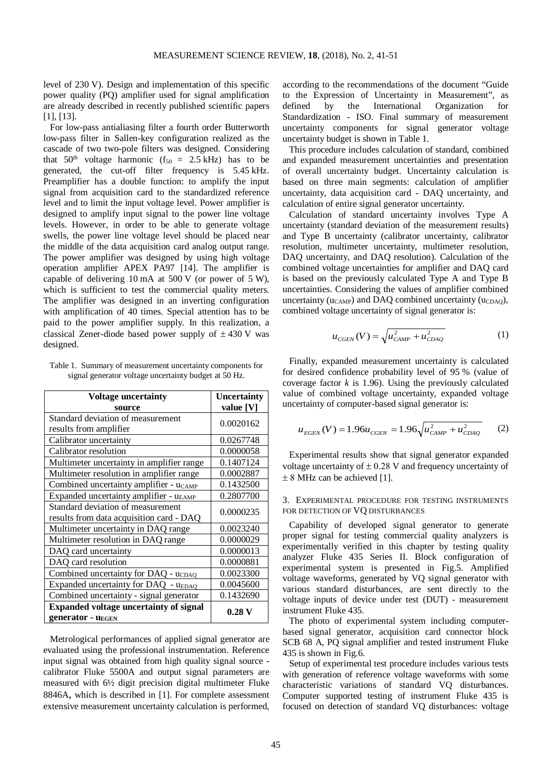level of 230 V). Design and implementation of this specific power quality (PQ) amplifier used for signal amplification are already described in recently published scientific papers [11, [13].

For low-pass antialiasing filter a fourth order Butterworth low-pass filter in Sallen-key configuration realized as the cascade of two two-pole filters was designed. Considering that  $50<sup>th</sup>$  voltage harmonic (f<sub>50</sub> = 2.5 kHz) has to be generated, the cut-off filter frequency is 5.45 kHz. Preamplifier has a double function: to amplify the input signal from acquisition card to the standardized reference level and to limit the input voltage level. Power amplifier is designed to amplify input signal to the power line voltage levels. However, in order to be able to generate voltage swells, the power line voltage level should be placed near the middle of the data acquisition card analog output range. The power amplifier was designed by using high voltage operation amplifier APEX PA97 [14]. The amplifier is capable of delivering 10 mA at 500 V (or power of 5 W), which is sufficient to test the commercial quality meters. The amplifier was designed in an inverting configuration with amplification of 40 times. Special attention has to be paid to the power amplifier supply. In this realization, a classical Zener-diode based power supply of  $\pm$  430 V was designed.

Table 1. Summary of measurement uncertainty components for signal generator voltage uncertainty budget at 50 Hz.

| <b>Voltage uncertainty</b>                                                    | <b>Uncertainty</b> |
|-------------------------------------------------------------------------------|--------------------|
| source                                                                        | value [V]          |
| Standard deviation of measurement<br>results from amplifier                   | 0.0020162          |
| Calibrator uncertainty                                                        | 0.0267748          |
| Calibrator resolution                                                         | 0.0000058          |
| Multimeter uncertainty in amplifier range                                     | 0.1407124          |
| Multimeter resolution in amplifier range                                      | 0.0002887          |
| Combined uncertainty amplifier - $uc_{AMP}$                                   | 0.1432500          |
| Expanded uncertainty amplifier - u <sub>EAMP</sub>                            | 0.2807700          |
| Standard deviation of measurement<br>results from data acquisition card - DAQ | 0.0000235          |
| Multimeter uncertainty in DAQ range                                           | 0.0023240          |
| Multimeter resolution in DAQ range                                            | 0.0000029          |
| DAQ card uncertainty                                                          | 0.0000013          |
| DAQ card resolution                                                           | 0.0000881          |
| Combined uncertainty for DAQ - ucDAQ                                          | 0.0023300          |
| Expanded uncertainty for DAQ - UEDAQ                                          | 0.0045600          |
| Combined uncertainty - signal generator                                       | 0.1432690          |
| <b>Expanded voltage uncertainty of signal</b><br>generator - UEGEN            | $0.28\,\mathrm{V}$ |

Metrological performances of applied signal generator are evaluated using the professional instrumentation. Reference input signal was obtained from high quality signal source calibrator Fluke 5500A and output signal parameters are measured with 6½ digit precision digital multimeter Fluke 8846A, which is described in [1]. For complete assessment extensive measurement uncertainty calculation is performed, according to the recommendations of the document "Guide to the Expression of Uncertainty in Measurement", as defined by the International Organization for Standardization - ISO. Final summary of measurement uncertainty components for signal generator voltage uncertainty budget is shown in Table 1.

This procedure includes calculation of standard, combined and expanded measurement uncertainties and presentation of overall uncertainty budget. Uncertainty calculation is based on three main segments: calculation of amplifier uncertainty, data acquisition card - DAQ uncertainty, and calculation of entire signal generator uncertainty.

Calculation of standard uncertainty involves Type A uncertainty (standard deviation of the measurement results) and Type B uncertainty (calibrator uncertainty, calibrator resolution, multimeter uncertainty, multimeter resolution, DAQ uncertainty, and DAQ resolution). Calculation of the combined voltage uncertainties for amplifier and DAQ card is based on the previously calculated Type A and Type B uncertainties. Considering the values of amplifier combined uncertainty ( $u_{CAMP}$ ) and DAQ combined uncertainty ( $u_{CDO}$ ), combined voltage uncertainty of signal generator is:

$$
u_{CGEN}(V) = \sqrt{u_{CAMP}^2 + u_{CDAQ}^2}
$$
 (1)

Finally, expanded measurement uncertainty is calculated for desired confidence probability level of 95 % (value of coverage factor *k* is 1.96). Using the previously calculated value of combined voltage uncertainty, expanded voltage uncertainty of computer-based signal generator is:

$$
u_{EGEN}(V) = 1.96u_{CGEN} = 1.96\sqrt{u_{CAMP}^2 + u_{CDAQ}^2} \qquad (2)
$$

Experimental results show that signal generator expanded voltage uncertainty of  $\pm$  0.28 V and frequency uncertainty of  $\pm$  8 MHz can be achieved [1].

## 3. EXPERIMENTAL PROCEDURE FOR TESTING INSTRUMENTS FOR DETECTION OF VO DISTURBANCES

Capability of developed signal generator to generate proper signal for testing commercial quality analyzers is experimentally verified in this chapter by testing quality analyzer Fluke 435 Series II. Block configuration of experimental system is presented in Fig.5. Amplified voltage waveforms, generated by VQ signal generator with various standard disturbances, are sent directly to the voltage inputs of device under test (DUT) - measurement instrument Fluke 435.

The photo of experimental system including computerbased signal generator, acquisition card connector block SCB 68 A, PQ signal amplifier and tested instrument Fluke 435 is shown in Fig.6.

Setup of experimental test procedure includes various tests with generation of reference voltage waveforms with some characteristic variations of standard VQ disturbances. Computer supported testing of instrument Fluke 435 is focused on detection of standard VQ disturbances: voltage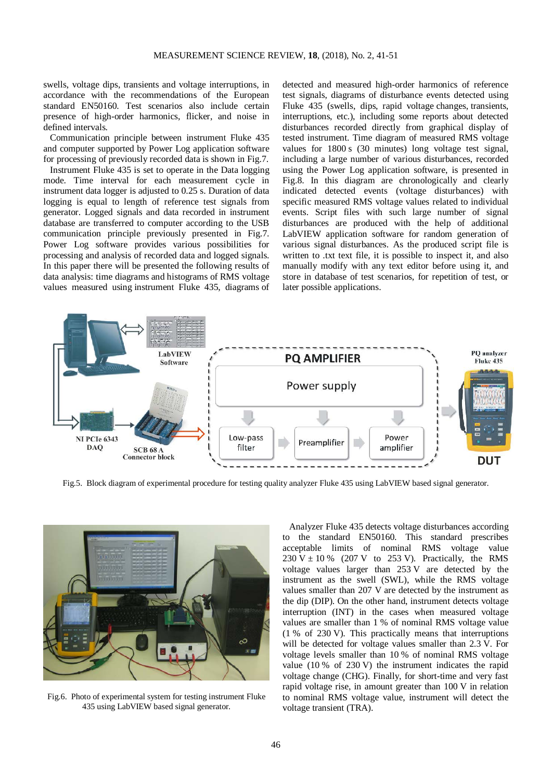swells, voltage dips, transients and voltage interruptions, in accordance with the recommendations of the European standard EN50160. Test scenarios also include certain presence of high-order harmonics, flicker, and noise in defined intervals.

Communication principle between instrument Fluke 435 and computer supported by Power Log application software for processing of previously recorded data is shown in Fig.7.

Instrument Fluke 435 is set to operate in the Data logging mode. Time interval for each measurement cycle in instrument data logger is adjusted to 0.25 s. Duration of data logging is equal to length of reference test signals from generator. Logged signals and data recorded in instrument database are transferred to computer according to the USB communication principle previously presented in Fig.7. Power Log software provides various possibilities for processing and analysis of recorded data and logged signals. In this paper there will be presented the following results of data analysis: time diagrams and histograms of RMS voltage values measured using instrument Fluke 435, diagrams of

detected and measured high-order harmonics of reference test signals, diagrams of disturbance events detected using Fluke 435 (swells, dips, rapid voltage changes, transients, interruptions, etc.), including some reports about detected disturbances recorded directly from graphical display of tested instrument. Time diagram of measured RMS voltage values for 1800 s (30 minutes) long voltage test signal, including a large number of various disturbances, recorded using the Power Log application software, is presented in Fig.8. In this diagram are chronologically and clearly indicated detected events (voltage disturbances) with specific measured RMS voltage values related to individual events. Script files with such large number of signal disturbances are produced with the help of additional LabVIEW application software for random generation of various signal disturbances. As the produced script file is written to .txt text file, it is possible to inspect it, and also manually modify with any text editor before using it, and store in database of test scenarios, for repetition of test, or later possible applications.



Fig.5. Block diagram of experimental procedure for testing quality analyzer Fluke 435 using LabVIEW based signal generator.



Fig.6. Photo of experimental system for testing instrument Fluke 435 using LabVIEW based signal generator.

Analyzer Fluke 435 detects voltage disturbances according to the standard EN50160. This standard prescribes acceptable limits of nominal RMS voltage value 230 V  $\pm$  10 % (207 V to 253 V). Practically, the RMS voltage values larger than 253 V are detected by the instrument as the swell (SWL), while the RMS voltage values smaller than 207 V are detected by the instrument as the dip (DIP). On the other hand, instrument detects voltage interruption (INT) in the cases when measured voltage values are smaller than 1 % of nominal RMS voltage value (1 % of 230 V). This practically means that interruptions will be detected for voltage values smaller than 2.3 V. For voltage levels smaller than 10 % of nominal RMS voltage value (10 % of 230 V) the instrument indicates the rapid voltage change (CHG). Finally, for short-time and very fast rapid voltage rise, in amount greater than 100 V in relation to nominal RMS voltage value, instrument will detect the voltage transient (TRA).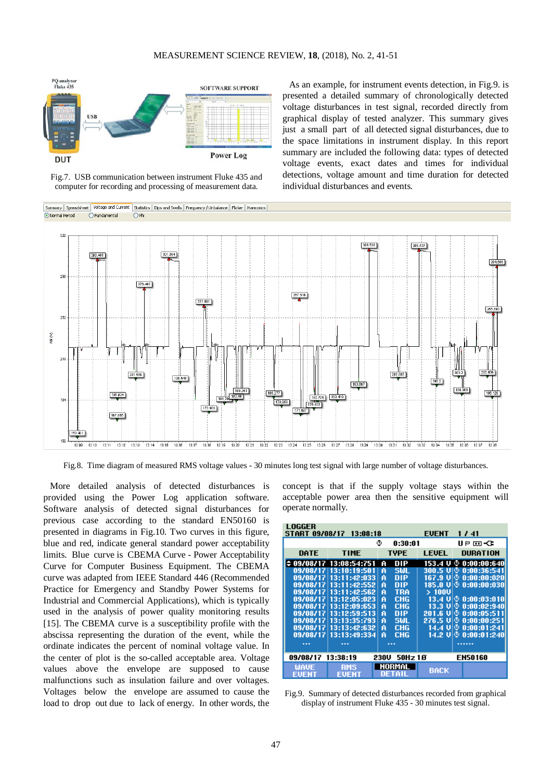

Fig.7. USB communication between instrument Fluke 435 and computer for recording and processing of measurement data.

As an example, for instrument events detection, in Fig.9. is presented a detailed summary of chronologically detected voltage disturbances in test signal, recorded directly from graphical display of tested analyzer. This summary gives just a small part of all detected signal disturbances, due to the space limitations in instrument display. In this report summary are included the following data: types of detected voltage events, exact dates and times for individual detections, voltage amount and time duration for detected individual disturbances and events.



Fig.8. Time diagram of measured RMS voltage values - 30 minutes long test signal with large number of voltage disturbances.

More detailed analysis of detected disturbances is provided using the Power Log application software. Software analysis of detected signal disturbances for previous case according to the standard EN50160 is presented in diagrams in Fig.10. Two curves in this figure, blue and red, indicate general standard power acceptability limits. Blue curve is CBEMA Curve - Power Acceptability Curve for Computer Business Equipment. The CBEMA curve was adapted from IEEE Standard 446 (Recommended Practice for Emergency and Standby Power Systems for Industrial and Commercial Applications), which is typically used in the analysis of power quality monitoring results [15]. The CBEMA curve is a susceptibility profile with the abscissa representing the duration of the event, while the ordinate indicates the percent of nominal voltage value. In the center of plot is the so-called acceptable area. Voltage values above the envelope are supposed to cause malfunctions such as insulation failure and over voltages. Voltages below the envelope are assumed to cause the load to drop out due to lack of energy. In other words, the

concept is that if the supply voltage stays within the acceptable power area then the sensitive equipment will operate normally.

| LOGGER<br><b>START 09/08/17</b>                          | 13:08:18                |                 | <b>EUENT</b>         | 1741                  |
|----------------------------------------------------------|-------------------------|-----------------|----------------------|-----------------------|
|                                                          |                         | ۰<br>0:30:01    |                      | U ⊵ ⊡ <del>√</del> C  |
| DATE                                                     | <b>TIME</b>             | <b>TYPE</b>     | <b>LEUEL</b>         | DURATION              |
|                                                          | ≑ 09/08/17 13:08:54:751 | DIP<br>A        | 153.4<br>u           | Ф<br>0:00:00:640      |
|                                                          | 09/08/17 13:10:19:501   | <b>SWL</b><br>A |                      | 300.5 U © 0:00:36:541 |
|                                                          | 09/08/17 13:11:42:033   | DIP<br>A        | 167.9<br>U!⊙         | 0:00:00:020           |
| 09/08/17                                                 | 13:11:42:552<br>÷       | DIP<br>A        | 185.0                | $U = 0:00:00:030$     |
|                                                          | 09/08/17 13:11:42:562   | TRA<br>A        | $>100$ U             |                       |
| 09/08/17                                                 | 13:12:05:023<br>÷       | CHG<br>A        | 13.4                 | $U = 0:00:03:010$     |
| 09/08/17                                                 | 13:12:09:653            | <b>CHG</b><br>A | 13.3.<br><b>U</b> iO | 0:00:02:940           |
| 09/08/17                                                 | 13:12:59:513            | DIP<br>A        | 201.6<br>w⊛          | 0:00:05:511           |
|                                                          | 09/08/17 13:13:35:793   | <b>SWL</b><br>A | 276.5 UIO            | 0:00:00:251           |
| 09/08/17                                                 | 13:13:42:632            | <b>CHG</b><br>A | U.O<br>14.4          | 0:00:01:241           |
| 09/08/17                                                 | 13:13:49:334            | CHG<br>A        |                      | 14.2 Ui® 0:00:01:240l |
| .                                                        |                         | .               |                      |                       |
| 09/08/17<br>13:38:19<br>50Hz10<br><b>EN50160</b><br>230V |                         |                 |                      |                       |
| WAUE<br>FUFNT                                            | RMS<br>FI 3 1<br>FU.    | NORMAL<br>ı     | <b>BACK</b>          |                       |

Fig.9. Summary of detected disturbances recorded from graphical display of instrument Fluke 435 - 30 minutes test signal.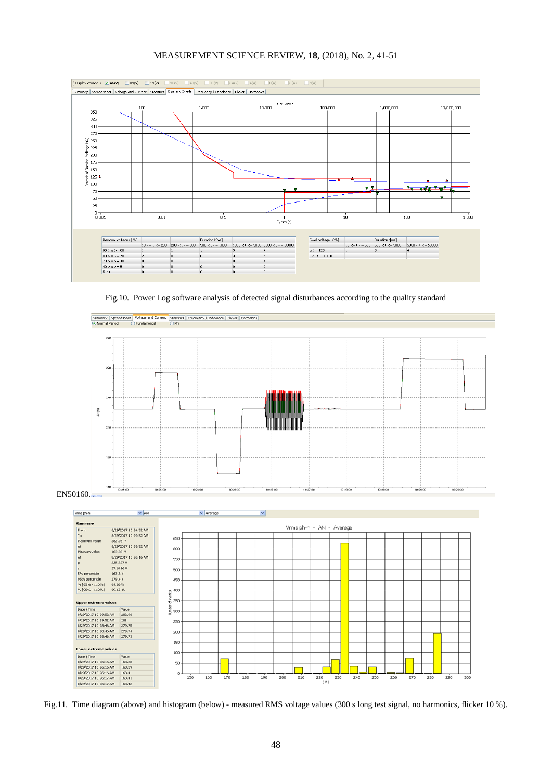## MEASUREMENT SCIENCE REVIEW, **18**, (2018), No. 2, 41-51



Fig.10. Power Log software analysis of detected signal disturbances according to the quality standard



EN50160.



Fig.11. Time diagram (above) and histogram (below) - measured RMS voltage values (300 s long test signal, no harmonics, flicker 10 %).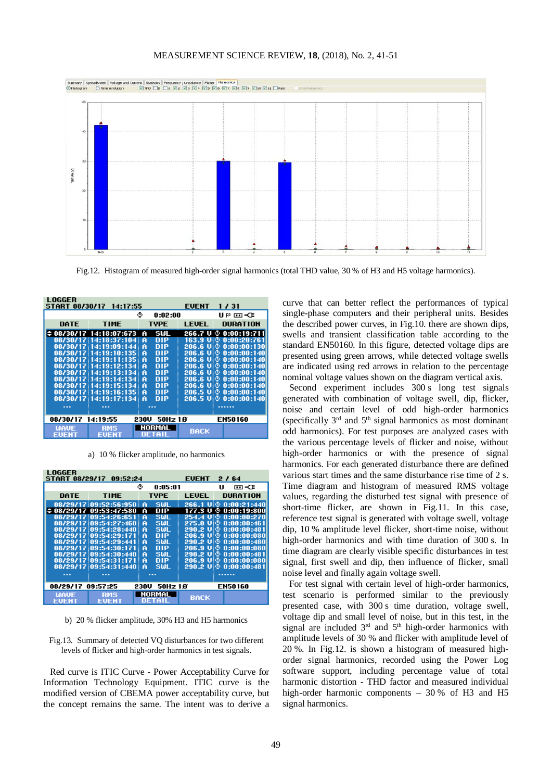## MEASUREMENT SCIENCE REVIEW, **18**, (2018), No. 2, 41-51



Fig.12. Histogram of measured high-order signal harmonics (total THD value, 30 % of H3 and H5 voltage harmonics).

| LOGGER                                                            |                         |          |               |                       |
|-------------------------------------------------------------------|-------------------------|----------|---------------|-----------------------|
|                                                                   | START 08/30/17 14:17:55 |          | <b>EUENT</b>  | 1 / 31                |
| ٥<br>0:02:00<br>U P ⊡ −Œ                                          |                         |          |               |                       |
| DATE                                                              | <b>TIME</b>             | TYPE     | <b>LEUEL</b>  | <b>DURATION</b>       |
|                                                                   | ≑ 08/30/17 14:18:07:673 | SWL<br>A |               | 266.7 U © 0:00:19:711 |
|                                                                   | 08/30/17 14:18:37:104   | DIP<br>A | 163.9<br>UIO. | 0:00:20:761           |
|                                                                   | 08/30/17 14:19:09:144   | DIP<br>A | 206.6 U O     | 0:00:00:130           |
|                                                                   | 08/30/17 14:19:10:135   | DIP<br>A | 206.6 U 0     | 0:00:00:140           |
|                                                                   | 08/30/17 14:19:11:135   | DIP<br>A | 206.6 UIO     | 0:00:00:140           |
|                                                                   | 08/30/17 14:19:12:134   | DIP<br>A | 206.6 U       | 0:00:00:140           |
|                                                                   | 08/30/17 14:19:13:134   | DIP<br>A | 206.6 U 0     | 0:00:00:140           |
|                                                                   | 08/30/17 14:19:14:134   | DIP<br>A | 206.6 UIO     | 0:00:00:140           |
|                                                                   | 08/30/17 14:19:15:134   | DIP<br>A | 206.6<br>υĐ   | 0:00:00:140           |
|                                                                   | 08/30/17 14:19:16:135   | DIP<br>A | 206.5 UIO.    | 0:00:00:140           |
|                                                                   | 08/30/17 14:19:17:134   | DIP<br>A |               | 206.5 ∪¦© 0:00:00:140 |
|                                                                   |                         |          |               |                       |
|                                                                   |                         |          |               |                       |
| 14:19:55<br><b>EN50160</b><br>08/30/17<br>50Hz 1 <i>0</i><br>230U |                         |          |               |                       |
| <b>WAUE</b>                                                       | <b>RMS</b>              | NORMAL   |               |                       |
| FUFNT                                                             | EUENT                   | DETAIL   | <b>BACK</b>   |                       |

a) 10 % flicker amplitude, no harmonics

| LOGGER<br><b>EUENT</b><br><b>START 08/29/17</b><br>09:52:24<br>2164 |                                         |                 |             |                           |
|---------------------------------------------------------------------|-----------------------------------------|-----------------|-------------|---------------------------|
| ⊙<br>0:05:01<br>U<br>▭◅                                             |                                         |                 |             |                           |
| DATE                                                                | <b>TIME</b>                             | TYPE            | LEUEL       | <b>DURATION</b>           |
|                                                                     | 08/29/17 09:52:56:950                   | <b>SMI</b><br>A |             | 266.1 U © 0:00:21:440     |
|                                                                     | $\Leftrightarrow$ 08/29/17 09:53:47:580 | DIP<br>A        | 177.3 U     | 0:00:19:800<br>⊙          |
|                                                                     | 08/29/17 09:54:26:651                   | <b>SWL</b><br>A | 254.4<br>υю | 0:00:00:270               |
|                                                                     | 08/29/17 09:54:27:460                   | <b>SWL</b><br>A | 275.0 UIO   | 0:00:00:461               |
|                                                                     | 08/29/17 09:54:28:440                   | <b>SWL</b><br>A | 290.2 U O   | 0:00:00:481               |
|                                                                     | 08/29/17 09:54:29:171                   | DIP<br>A        | 206.9 U     | 0:00:00:080               |
|                                                                     | 08/29/17 09:54:29:441                   | sш<br>A         | 290.2 UIO   | 0:00:00:480               |
|                                                                     | 08/29/17 09:54:30:171                   | <b>DIP</b><br>A | 206.9 U O   | 0:00:00:080               |
|                                                                     | 08/29/17 09:54:30:440                   | <b>SWL</b><br>A |             | 290.2 U © 0:00:00:481     |
|                                                                     | 08/29/17 09:54:31:171                   | DIP<br>A        |             | $206.9 \cup 0.00:00:0000$ |
|                                                                     | 08/29/17 09:54:31:440                   | SШ.<br>A        |             | 290.2 U © 0:00:00:481     |
|                                                                     |                                         |                 |             |                           |
| <b>EN50160</b><br>08/29/17<br>09:57:25<br>50Hz 1.0<br>230V          |                                         |                 |             |                           |
| <b>WAUE</b>                                                         | RMS                                     | NORMAL          |             |                           |
| EUENT                                                               | EUENT                                   | DETAIL          | <b>BACK</b> |                           |

b) 20 % flicker amplitude, 30% H3 and H5 harmonics

Fig.13. Summary of detected VQ disturbances for two different levels of flicker and high-order harmonics in test signals.

Red curve is ITIC Curve - Power Acceptability Curve for Information Technology Equipment. ITIC curve is the modified version of [CBEMA power acceptability curve,](http://www.powerqualityworld.com/2011/04/cbema-curve-power-quality-standard.html) but the concept remains the same. The intent was to derive a curve that can better reflect the performances of typical single-phase computers and their peripheral units. Besides the described power curves, in Fig.10. there are shown dips, swells and transient classification table according to the standard EN50160. In this figure, detected voltage dips are presented using green arrows, while detected voltage swells are indicated using red arrows in relation to the percentage nominal voltage values shown on the diagram vertical axis.

Second experiment includes 300 s long test signals generated with combination of voltage swell, dip, flicker, noise and certain level of odd high-order harmonics (specifically 3rd and 5th signal harmonics as most dominant odd harmonics). For test purposes are analyzed cases with the various percentage levels of flicker and noise, without high-order harmonics or with the presence of signal harmonics. For each generated disturbance there are defined various start times and the same disturbance rise time of 2 s. Time diagram and histogram of measured RMS voltage values, regarding the disturbed test signal with presence of short-time flicker, are shown in Fig.11. In this case, reference test signal is generated with voltage swell, voltage dip, 10 % amplitude level flicker, short-time noise, without high-order harmonics and with time duration of 300 s. In time diagram are clearly visible specific disturbances in test signal, first swell and dip, then influence of flicker, small noise level and finally again voltage swell.

For test signal with certain level of high-order harmonics, test scenario is performed similar to the previously presented case, with 300 s time duration, voltage swell, voltage dip and small level of noise, but in this test, in the signal are included  $3<sup>rd</sup>$  and  $5<sup>th</sup>$  high-order harmonics with amplitude levels of 30 % and flicker with amplitude level of 20 %. In Fig.12. is shown a histogram of measured highorder signal harmonics, recorded using the Power Log software support, including percentage value of total harmonic distortion - THD factor and measured individual high-order harmonic components – 30 % of H3 and H5 signal harmonics.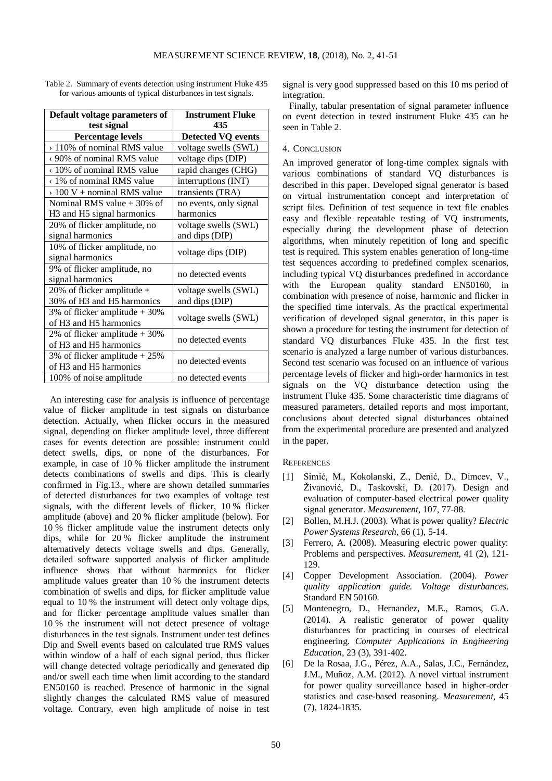| Default voltage parameters of                      | <b>Instrument Fluke</b>   |  |  |
|----------------------------------------------------|---------------------------|--|--|
| test signal                                        | 435                       |  |  |
| <b>Percentage levels</b>                           | <b>Detected VQ events</b> |  |  |
| > 110% of nominal RMS value                        | voltage swells (SWL)      |  |  |
| <90% of nominal RMS value                          | voltage dips (DIP)        |  |  |
| <10% of nominal RMS value                          | rapid changes (CHG)       |  |  |
| <1% of nominal RMS value                           | interruptions (INT)       |  |  |
| $> 100 V +$ nominal RMS value                      | transients (TRA)          |  |  |
| Nominal RMS value $+30\%$ of                       | no events, only signal    |  |  |
| H <sub>3</sub> and H <sub>5</sub> signal harmonics | harmonics                 |  |  |
| 20% of flicker amplitude, no                       | voltage swells (SWL)      |  |  |
| signal harmonics                                   | and dips (DIP)            |  |  |
| 10% of flicker amplitude, no                       | voltage dips (DIP)        |  |  |
| signal harmonics                                   |                           |  |  |
| 9% of flicker amplitude, no                        | no detected events        |  |  |
| signal harmonics                                   |                           |  |  |
| 20% of flicker amplitude $+$                       | voltage swells (SWL)      |  |  |
| 30% of H3 and H5 harmonics                         | and dips (DIP)            |  |  |
| 3% of flicker amplitude $+30%$                     | voltage swells (SWL)      |  |  |
| of H3 and H5 harmonics                             |                           |  |  |
| 2% of flicker amplitude $+30%$                     | no detected events        |  |  |
| of H3 and H5 harmonics                             |                           |  |  |
| 3% of flicker amplitude $+25%$                     | no detected events        |  |  |
| of H3 and H5 harmonics                             |                           |  |  |
| 100% of noise amplitude                            | no detected events        |  |  |

Table 2. Summary of events detection using instrument Fluke 435 for various amounts of typical disturbances in test signals.

An interesting case for analysis is influence of percentage value of flicker amplitude in test signals on disturbance detection. Actually, when flicker occurs in the measured signal, depending on flicker amplitude level, three different cases for events detection are possible: instrument could detect swells, dips, or none of the disturbances. For example, in case of 10 % flicker amplitude the instrument detects combinations of swells and dips. This is clearly confirmed in Fig.13., where are shown detailed summaries of detected disturbances for two examples of voltage test signals, with the different levels of flicker, 10 % flicker amplitude (above) and 20 % flicker amplitude (below). For 10 % flicker amplitude value the instrument detects only dips, while for 20 % flicker amplitude the instrument alternatively detects voltage swells and dips. Generally, detailed software supported analysis of flicker amplitude influence shows that without harmonics for flicker amplitude values greater than 10 % the instrument detects combination of swells and dips, for flicker amplitude value equal to 10 % the instrument will detect only voltage dips, and for flicker percentage amplitude values smaller than 10 % the instrument will not detect presence of voltage disturbances in the test signals. Instrument under test defines Dip and Swell events based on calculated true RMS values within window of a half of each signal period, thus flicker will change detected voltage periodically and generated dip and/or swell each time when limit according to the standard EN50160 is reached. Presence of harmonic in the signal slightly changes the calculated RMS value of measured voltage. Contrary, even high amplitude of noise in test

signal is very good suppressed based on this 10 ms period of integration.

Finally, tabular presentation of signal parameter influence on event detection in tested instrument Fluke 435 can be seen in Table 2.

## 4. CONCLUSION

An improved generator of long-time complex signals with various combinations of standard VQ disturbances is described in this paper. Developed signal generator is based on virtual instrumentation concept and interpretation of script files. Definition of test sequence in text file enables easy and flexible repeatable testing of VQ instruments, especially during the development phase of detection algorithms, when minutely repetition of long and specific test is required. This system enables generation of long-time test sequences according to predefined complex scenarios, including typical VQ disturbances predefined in accordance with the European quality standard EN50160, in combination with presence of noise, harmonic and flicker in the specified time intervals. As the practical experimental verification of developed signal generator, in this paper is shown a procedure for testing the instrument for detection of standard VQ disturbances Fluke 435. In the first test scenario is analyzed a large number of various disturbances. Second test scenario was focused on an influence of various percentage levels of flicker and high-order harmonics in test signals on the VQ disturbance detection using the instrument Fluke 435. Some characteristic time diagrams of measured parameters, detailed reports and most important, conclusions about detected signal disturbances obtained from the experimental procedure are presented and analyzed in the paper.

## **REFERENCES**

- [1] Simić, M., Kokolanski, Z., Denić, D., Dimcev, V., Živanović, D., Taskovski, D. (2017). Design and evaluation of computer-based electrical power quality signal generator. *Measurement*, 107, 77-88.
- [2] Bollen, M.H.J. (2003). What is power quality? *Electric Power Systems Research*, 66 (1), 5-14.
- [3] Ferrero, A. (2008). Measuring electric power quality: Problems and perspectives. *Measurement*, 41 (2), 121- 129.
- [4] Copper Development Association. (2004). *Power quality application guide. Voltage disturbances*. Standard EN 50160.
- [5] Montenegro, D., Hernandez, M.E., Ramos, G.A. (2014). A realistic generator of power quality disturbances for practicing in courses of electrical engineering. *Computer Applications in Engineering Education*, 23 (3), 391-402.
- [6] De la Rosaa, J.G., Pérez, A.A., Salas, J.C., Fernández, J.M., Muñoz, A.M. (2012). A novel virtual instrument for power quality surveillance based in higher-order statistics and case-based reasoning. *Measurement*, 45 (7), 1824-1835.